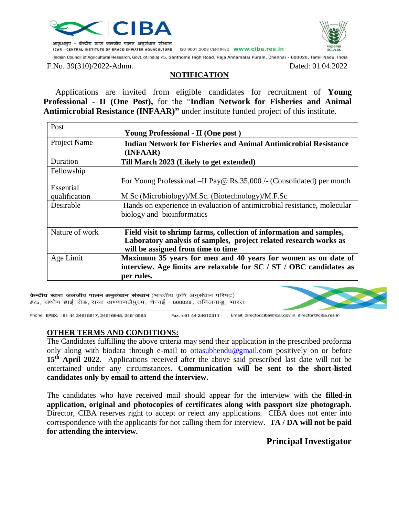

भाकृअनुप – केन्द्रीय खारा जलजीव पालन अनुसंधान संस्थान



ISO 9001:2008 CERTIFIED www.ciba.res.in ICAR - CENTRAL INSTITUTE OF BRACKISHWATER AQUACULTURE

(Indian Council of Agricultural Research, Govt. of India) 75, Santhome High Road, Raja Annamalai Puram, Chennai - 600028, Tamil Nadu, India

F.No. 39(310)/2022-Admn. Dated: 01.04.2022

### **NOTIFICATION**

 Applications are invited from eligible candidates for recruitment of **Young Professional - II (One Post),** for the "**Indian Network for Fisheries and Animal Antimicrobial Resistance (INFAAR)"** under institute funded project of this institute.

| Post           |                                                                                                         |  |
|----------------|---------------------------------------------------------------------------------------------------------|--|
|                | <b>Young Professional - II (One post)</b>                                                               |  |
| Project Name   | <b>Indian Network for Fisheries and Animal Antimicrobial Resistance</b>                                 |  |
|                | (INFAAR)                                                                                                |  |
| Duration       | Till March 2023 (Likely to get extended)                                                                |  |
| Fellowship     |                                                                                                         |  |
|                | For Young Professional –II Pay@ Rs.35,000 /- (Consolidated) per month                                   |  |
| Essential      |                                                                                                         |  |
| qualification  | M.Sc (Microbiology)/M.Sc. (Biotechnology)/M.F.Sc                                                        |  |
| Desirable      | Hands on experience in evaluation of antimicrobial resistance, molecular                                |  |
|                | biology and bioinformatics                                                                              |  |
| Nature of work | Field visit to shrimp farms, collection of information and samples,                                     |  |
|                | Laboratory analysis of samples, project related research works as<br>will be assigned from time to time |  |
| Age Limit      | Maximum 35 years for men and 40 years for women as on date of                                           |  |
|                | interview. Age limits are relaxable for $SC / ST / OBC$ candidates as                                   |  |
|                | per rules.                                                                                              |  |
|                |                                                                                                         |  |

केन्द्रीय खारा जलजीव पालन अनुसंधान संस्थान (भारतीय कृषि अनुसंधान परिषद) #75, संथोम हाई रोड, राजा अण्णामलैपुरम, चेन्नई - 600028, तमिलनाडु, भारत

Phone: EPBX: +91 44 24618817, 24616948, 24610565

Fax: +91 44 24610311 Email: director.ciba@icar.gov.in, director@ciba.res.in

#### **OTHER TERMS AND CONDITIONS:**

The Candidates fulfilling the above criteria may send their application in the prescribed proforma only along with biodata through e-mail to [ottasubhendu@gmail.com](mailto:ottasubhendu@gmail.com) positively on or before 15<sup>th</sup> **April 2022**. Applications received after the above said prescribed last date will not be entertained under any circumstances. **Communication will be sent to the short-listed candidates only by email to attend the interview.**

The candidates who have received mail should appear for the interview with the **filled-in application, original and photocopies of certificates along with passport size photograph.**  Director, CIBA reserves right to accept or reject any applications. CIBA does not enter into correspondence with the applicants for not calling them for interview. **TA / DA will not be paid for attending the interview.**

### **Principal Investigator**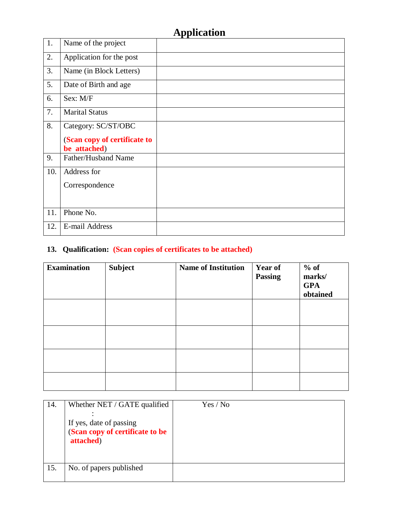# **Application**

| 1.  | Name of the project                          |  |
|-----|----------------------------------------------|--|
| 2.  | Application for the post                     |  |
| 3.  | Name (in Block Letters)                      |  |
| 5.  | Date of Birth and age                        |  |
| 6.  | Sex: M/F                                     |  |
| 7.  | <b>Marital Status</b>                        |  |
| 8.  | Category: SC/ST/OBC                          |  |
|     | (Scan copy of certificate to<br>be attached) |  |
| 9.  | Father/Husband Name                          |  |
| 10. | Address for                                  |  |
|     | Correspondence                               |  |
|     |                                              |  |
| 11. | Phone No.                                    |  |
| 12. | <b>E-mail Address</b>                        |  |

# **13. Qualification: (Scan copies of certificates to be attached)**

| <b>Examination</b> | <b>Subject</b> | <b>Name of Institution</b> | <b>Year of</b><br><b>Passing</b> | $%$ of<br>marks/<br><b>GPA</b><br>obtained |
|--------------------|----------------|----------------------------|----------------------------------|--------------------------------------------|
|                    |                |                            |                                  |                                            |
|                    |                |                            |                                  |                                            |
|                    |                |                            |                                  |                                            |
|                    |                |                            |                                  |                                            |

| 14. | Whether NET / GATE qualified<br>If yes, date of passing<br>(Scan copy of certificate to be<br>attached) | Yes / No |
|-----|---------------------------------------------------------------------------------------------------------|----------|
| 15. | No. of papers published                                                                                 |          |